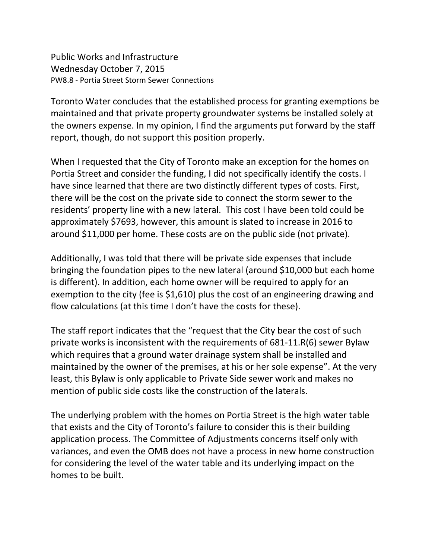Public Works and Infrastructure Wednesday October 7, 2015 PW8.8 - Portia Street Storm Sewer Connections

Toronto Water concludes that the established process for granting exemptions be maintained and that private property groundwater systems be installed solely at the owners expense. In my opinion, I find the arguments put forward by the staff report, though, do not support this position properly.

When I requested that the City of Toronto make an exception for the homes on Portia Street and consider the funding, I did not specifically identify the costs. I have since learned that there are two distinctly different types of costs. First, there will be the cost on the private side to connect the storm sewer to the residents' property line with a new lateral. This cost I have been told could be approximately \$7693, however, this amount is slated to increase in 2016 to around \$11,000 per home. These costs are on the public side (not private).

Additionally, I was told that there will be private side expenses that include bringing the foundation pipes to the new lateral (around \$10,000 but each home is different). In addition, each home owner will be required to apply for an exemption to the city (fee is \$1,610) plus the cost of an engineering drawing and flow calculations (at this time I don't have the costs for these).

The staff report indicates that the "request that the City bear the cost of such private works is inconsistent with the requirements of 681-11.R(6) sewer Bylaw which requires that a ground water drainage system shall be installed and maintained by the owner of the premises, at his or her sole expense". At the very least, this Bylaw is only applicable to Private Side sewer work and makes no mention of public side costs like the construction of the laterals.

The underlying problem with the homes on Portia Street is the high water table that exists and the City of Toronto's failure to consider this is their building application process. The Committee of Adjustments concerns itself only with variances, and even the OMB does not have a process in new home construction for considering the level of the water table and its underlying impact on the homes to be built.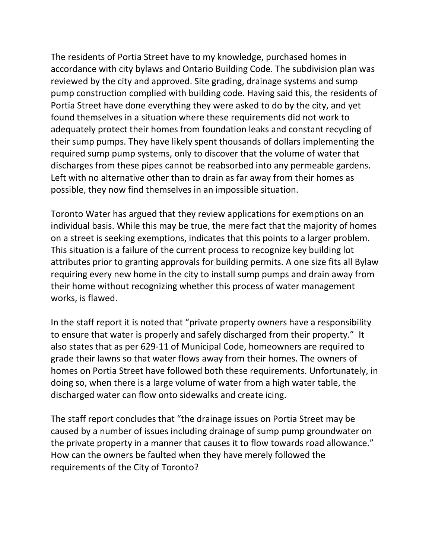The residents of Portia Street have to my knowledge, purchased homes in accordance with city bylaws and Ontario Building Code. The subdivision plan was reviewed by the city and approved. Site grading, drainage systems and sump pump construction complied with building code. Having said this, the residents of Portia Street have done everything they were asked to do by the city, and yet found themselves in a situation where these requirements did not work to adequately protect their homes from foundation leaks and constant recycling of their sump pumps. They have likely spent thousands of dollars implementing the required sump pump systems, only to discover that the volume of water that discharges from these pipes cannot be reabsorbed into any permeable gardens. Left with no alternative other than to drain as far away from their homes as possible, they now find themselves in an impossible situation.

Toronto Water has argued that they review applications for exemptions on an individual basis. While this may be true, the mere fact that the majority of homes on a street is seeking exemptions, indicates that this points to a larger problem. This situation is a failure of the current process to recognize key building lot attributes prior to granting approvals for building permits. A one size fits all Bylaw requiring every new home in the city to install sump pumps and drain away from their home without recognizing whether this process of water management works, is flawed.

In the staff report it is noted that "private property owners have a responsibility to ensure that water is properly and safely discharged from their property." It also states that as per 629-11 of Municipal Code, homeowners are required to grade their lawns so that water flows away from their homes. The owners of homes on Portia Street have followed both these requirements. Unfortunately, in doing so, when there is a large volume of water from a high water table, the discharged water can flow onto sidewalks and create icing.

The staff report concludes that "the drainage issues on Portia Street may be caused by a number of issues including drainage of sump pump groundwater on the private property in a manner that causes it to flow towards road allowance." How can the owners be faulted when they have merely followed the requirements of the City of Toronto?